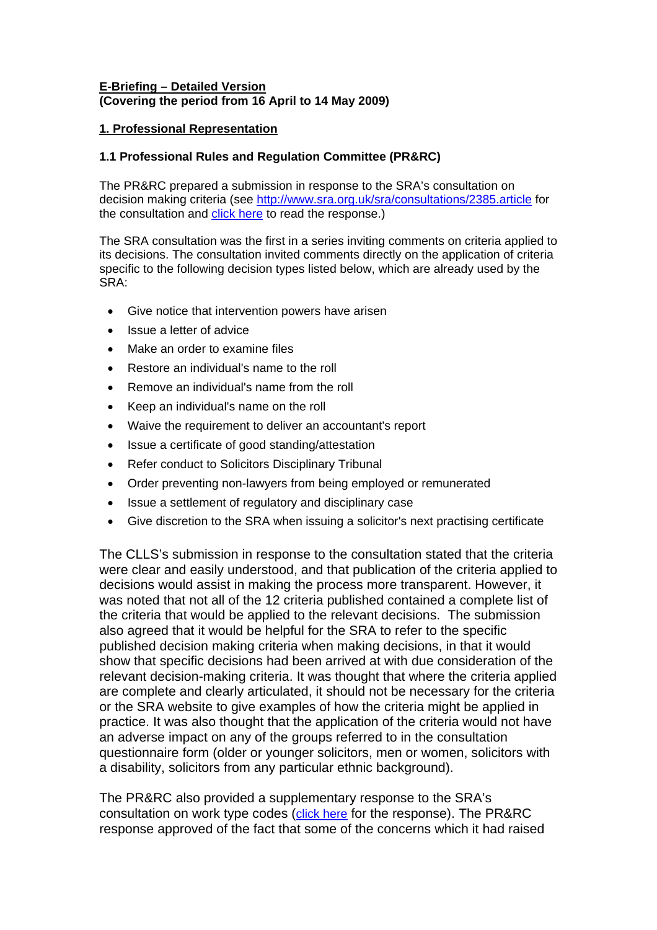## **E-Briefing – Detailed Version (Covering the period from 16 April to 14 May 2009)**

## **1. Professional Representation**

## **1.1 Professional Rules and Regulation Committee (PR&RC)**

The PR&RC prepared a submission in response to the SRA's consultation on decision making criteria (see <http://www.sra.org.uk/sra/consultations/2385.article>for the consultation and [click here](http://www.citysolicitors.org.uk/FileServer.aspx?oID=573&lID=0) to read the response.)

The SRA consultation was the first in a series inviting comments on criteria applied to its decisions. The consultation invited comments directly on the application of criteria specific to the following decision types listed below, which are already used by the SRA:

- [Give notice that intervention powers have arisen](http://www.sra.org.uk/sra/how-we-work/decision-making/criteria/2325.article)
- [Issue a letter of advice](http://www.sra.org.uk/sra/how-we-work/decision-making/criteria/2329.article)
- Make an order to examine files
- [Restore an individual's name to the roll](http://www.sra.org.uk/sra/how-we-work/decision-making/criteria/2324.article)
- [Remove an individual's name from the roll](http://www.sra.org.uk/sra/how-we-work/decision-making/criteria/2326.article)
- [Keep an individual's name on the roll](http://www.sra.org.uk/sra/how-we-work/decision-making/criteria/2327.article)
- [Waive the requirement to deliver an accountant's report](http://www.sra.org.uk/sra/how-we-work/decision-making/criteria/2328.article)
- [Issue a certificate of good standing/attestation](http://www.sra.org.uk/sra/how-we-work/decision-making/criteria/2330.article)
- [Refer conduct to Solicitors Disciplinary Tribunal](http://www.sra.org.uk/sra/how-we-work/decision-making/criteria/2338.article)
- [Order preventing non-lawyers from being employed or remunerated](http://www.sra.org.uk/sra/how-we-work/decision-making/criteria/2332.article)
- [Issue a settlement of regulatory and disciplinary case](http://www.sra.org.uk/sra/how-we-work/decision-making/criteria/2347.article)
- [Give discretion to the SRA when issuing a solicitor's next practising certificate](http://www.sra.org.uk/sra/how-we-work/decision-making/criteria/2335.article)

The CLLS's submission in response to the consultation stated that the criteria were clear and easily understood, and that publication of the criteria applied to decisions would assist in making the process more transparent. However, it was noted that not all of the 12 criteria published contained a complete list of the criteria that would be applied to the relevant decisions. The submission also agreed that it would be helpful for the SRA to refer to the specific published decision making criteria when making decisions, in that it would show that specific decisions had been arrived at with due consideration of the relevant decision-making criteria. It was thought that where the criteria applied are complete and clearly articulated, it should not be necessary for the criteria or the SRA website to give examples of how the criteria might be applied in practice. It was also thought that the application of the criteria would not have an adverse impact on any of the groups referred to in the consultation questionnaire form (older or younger solicitors, men or women, solicitors with a disability, solicitors from any particular ethnic background).

The PR&RC also provided a supplementary response to the SRA's consultation on work type codes [\(click here](http://www.citysolicitors.org.uk/FileServer.aspx?oID=574&lID=0) for the response). The PR&RC response approved of the fact that some of the concerns which it had raised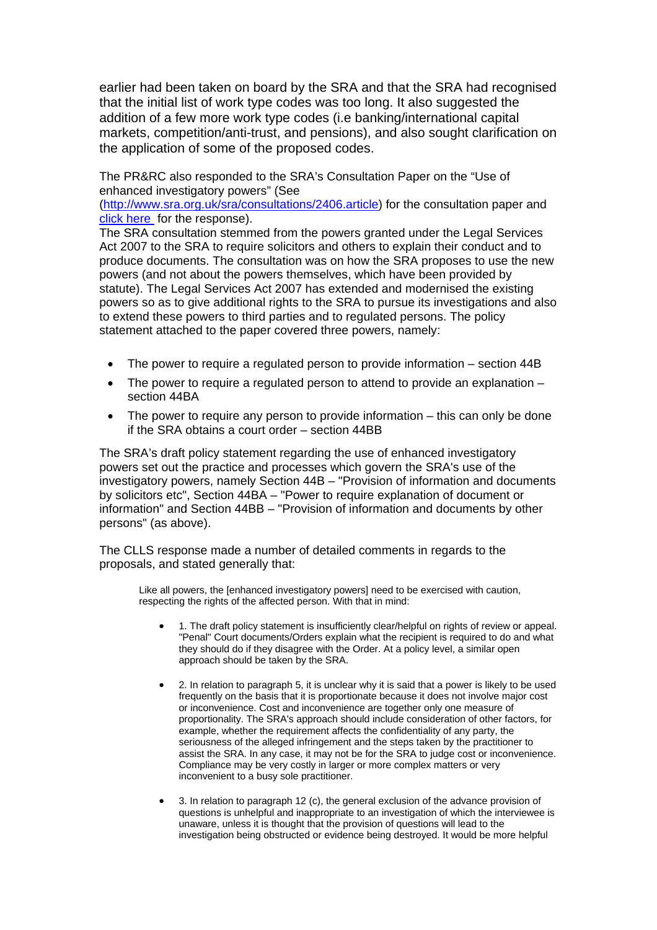earlier had been taken on board by the SRA and that the SRA had recognised that the initial list of work type codes was too long. It also suggested the addition of a few more work type codes (i.e banking/international capital markets, competition/anti-trust, and pensions), and also sought clarification on the application of some of the proposed codes.

The PR&RC also responded to the SRA's Consultation Paper on the ["Use of](http://www.sra.org.uk/sra/consultations/2406.article)  [enhanced investigatory powers"](http://www.sra.org.uk/sra/consultations/2406.article) (See

([http://www.sra.org.uk/sra/consultations/2406.article\)](http://www.sra.org.uk/sra/consultations/2406.article) for the consultation paper and [click here](http://www.citysolicitors.org.uk/FileServer.aspx?oID=576&lID=0) for the response).

The SRA consultation stemmed from the powers granted under the Legal Services Act 2007 to the SRA to require solicitors and others to explain their conduct and to produce documents. The consultation was on how the SRA proposes to use the new powers (and not about the powers themselves, which have been provided by statute). The Legal Services Act 2007 has extended and modernised the existing powers so as to give additional rights to the SRA to pursue its investigations and also to extend these powers to third parties and to regulated persons. The policy statement attached to the paper covered three powers, namely:

- The power to require a regulated person to provide information section 44B
- The power to require a requiated person to attend to provide an explanation  $$ section 44BA
- The power to require any person to provide information this can only be done if the SRA obtains a court order – section 44BB

The SRA's draft policy statement regarding the use of enhanced investigatory powers set out the practice and processes which govern the SRA's use of the investigatory powers, namely Section 44B – "Provision of information and documents by solicitors etc", Section 44BA – "Power to require explanation of document or information" and Section 44BB – "Provision of information and documents by other persons" (as above).

The CLLS response made a number of detailed comments in regards to the proposals, and stated generally that:

Like all powers, the [enhanced investigatory powers] need to be exercised with caution, respecting the rights of the affected person. With that in mind:

- 1. The draft policy statement is insufficiently clear/helpful on rights of review or appeal. "Penal" Court documents/Orders explain what the recipient is required to do and what they should do if they disagree with the Order. At a policy level, a similar open approach should be taken by the SRA.
- 2. In relation to paragraph 5, it is unclear why it is said that a power is likely to be used frequently on the basis that it is proportionate because it does not involve major cost or inconvenience. Cost and inconvenience are together only one measure of proportionality. The SRA's approach should include consideration of other factors, for example, whether the requirement affects the confidentiality of any party, the seriousness of the alleged infringement and the steps taken by the practitioner to assist the SRA. In any case, it may not be for the SRA to judge cost or inconvenience. Compliance may be very costly in larger or more complex matters or very inconvenient to a busy sole practitioner.
- 3. In relation to paragraph 12 (c), the general exclusion of the advance provision of questions is unhelpful and inappropriate to an investigation of which the interviewee is unaware, unless it is thought that the provision of questions will lead to the investigation being obstructed or evidence being destroyed. It would be more helpful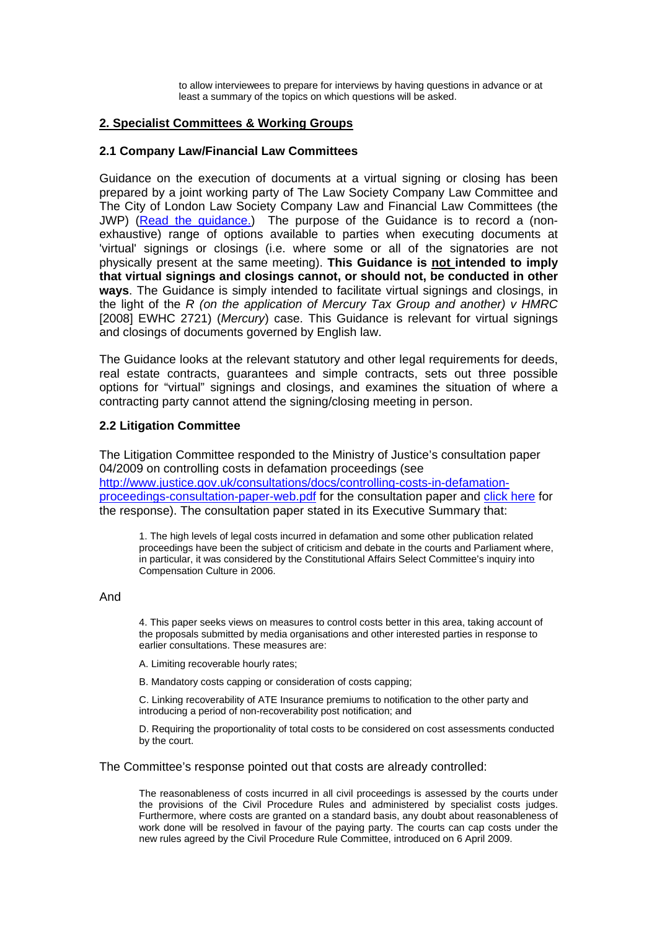to allow interviewees to prepare for interviews by having questions in advance or at least a summary of the topics on which questions will be asked.

### **2. Specialist Committees & Working Groups**

### **2.1 Company Law/Financial Law Committees**

Guidance on the execution of documents at a virtual signing or closing has been prepared by a joint working party of The Law Society Company Law Committee and The City of London Law Society Company Law and Financial Law Committees (the JWP) [\(Read the guidance.](http://www.citysolicitors.org.uk/FileServer.aspx?oID=571&lID=0)) The purpose of the Guidance is to record a (nonexhaustive) range of options available to parties when executing documents at 'virtual' signings or closings (i.e. where some or all of the signatories are not physically present at the same meeting). **This Guidance is not intended to imply that virtual signings and closings cannot, or should not, be conducted in other ways**. The Guidance is simply intended to facilitate virtual signings and closings, in the light of the *R (on the application of Mercury Tax Group and another) v HMRC*  [2008] EWHC 2721) (*Mercury*) case. This Guidance is relevant for virtual signings and closings of documents governed by English law.

The Guidance looks at the relevant statutory and other legal requirements for deeds, real estate contracts, guarantees and simple contracts, sets out three possible options for "virtual" signings and closings, and examines the situation of where a contracting party cannot attend the signing/closing meeting in person.

## **2.2 Litigation Committee**

The Litigation Committee responded to the Ministry of Justice's consultation paper 04/2009 on controlling costs in defamation proceedings (see [http://www.justice.gov.uk/consultations/docs/controlling-costs-in-defamation](http://www.justice.gov.uk/consultations/docs/controlling-costs-in-defamation-proceedings-consultation-paper-web.pdf)[proceedings-consultation-paper-web.pdf](http://www.justice.gov.uk/consultations/docs/controlling-costs-in-defamation-proceedings-consultation-paper-web.pdf) for the consultation paper and [click here](http://www.citysolicitors.org.uk/FileServer.aspx?oID=568&lID=0) for the response). The consultation paper stated in its Executive Summary that:

1. The high levels of legal costs incurred in defamation and some other publication related proceedings have been the subject of criticism and debate in the courts and Parliament where, in particular, it was considered by the Constitutional Affairs Select Committee's inquiry into Compensation Culture in 2006.

#### And

4. This paper seeks views on measures to control costs better in this area, taking account of the proposals submitted by media organisations and other interested parties in response to earlier consultations. These measures are:

A. Limiting recoverable hourly rates;

B. Mandatory costs capping or consideration of costs capping;

C. Linking recoverability of ATE Insurance premiums to notification to the other party and introducing a period of non-recoverability post notification; and

D. Requiring the proportionality of total costs to be considered on cost assessments conducted by the court.

The Committee's response pointed out that costs are already controlled:

The reasonableness of costs incurred in all civil proceedings is assessed by the courts under the provisions of the Civil Procedure Rules and administered by specialist costs judges. Furthermore, where costs are granted on a standard basis, any doubt about reasonableness of work done will be resolved in favour of the paying party. The courts can cap costs under the new rules agreed by the Civil Procedure Rule Committee, introduced on 6 April 2009.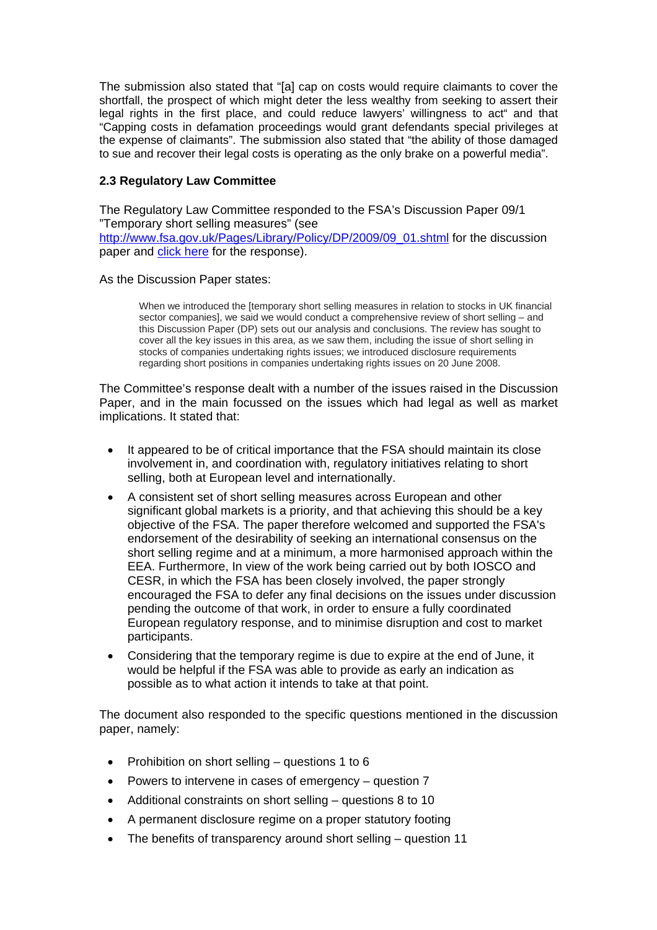The submission also stated that "[a] cap on costs would require claimants to cover the shortfall, the prospect of which might deter the less wealthy from seeking to assert their legal rights in the first place, and could reduce lawyers' willingness to act" and that "Capping costs in defamation proceedings would grant defendants special privileges at the expense of claimants". The submission also stated that "the ability of those damaged to sue and recover their legal costs is operating as the only brake on a powerful media".

### **2.3 Regulatory Law Committee**

The Regulatory Law Committee responded to the FSA's Discussion Paper 09/1 "Temporary short selling measures" (see [http://www.fsa.gov.uk/Pages/Library/Policy/DP/2009/09\\_01.shtml](http://www.fsa.gov.uk/Pages/Library/Policy/DP/2009/09_01.shtml) for the discussion paper and [click here](http://www.citysolicitors.org.uk/FileServer.aspx?oID=575&lID=0) for the response).

### As the Discussion Paper states:

When we introduced the [temporary short selling measures in relation to stocks in UK financial sector companies], we said we would conduct a comprehensive review of short selling – and this Discussion Paper (DP) sets out our analysis and conclusions. The review has sought to cover all the key issues in this area, as we saw them, including the issue of short selling in stocks of companies undertaking rights issues; we introduced disclosure requirements regarding short positions in companies undertaking rights issues on 20 June 2008.

The Committee's response dealt with a number of the issues raised in the Discussion Paper, and in the main focussed on the issues which had legal as well as market implications. It stated that:

- It appeared to be of critical importance that the FSA should maintain its close involvement in, and coordination with, regulatory initiatives relating to short selling, both at European level and internationally.
- A consistent set of short selling measures across European and other significant global markets is a priority, and that achieving this should be a key objective of the FSA. The paper therefore welcomed and supported the FSA's endorsement of the desirability of seeking an international consensus on the short selling regime and at a minimum, a more harmonised approach within the EEA. Furthermore, In view of the work being carried out by both IOSCO and CESR, in which the FSA has been closely involved, the paper strongly encouraged the FSA to defer any final decisions on the issues under discussion pending the outcome of that work, in order to ensure a fully coordinated European regulatory response, and to minimise disruption and cost to market participants.
- Considering that the temporary regime is due to expire at the end of June, it would be helpful if the FSA was able to provide as early an indication as possible as to what action it intends to take at that point.

The document also responded to the specific questions mentioned in the discussion paper, namely:

- Prohibition on short selling questions 1 to 6
- Powers to intervene in cases of emergency question 7
- Additional constraints on short selling questions 8 to 10
- A permanent disclosure regime on a proper statutory footing
- The benefits of transparency around short selling question 11